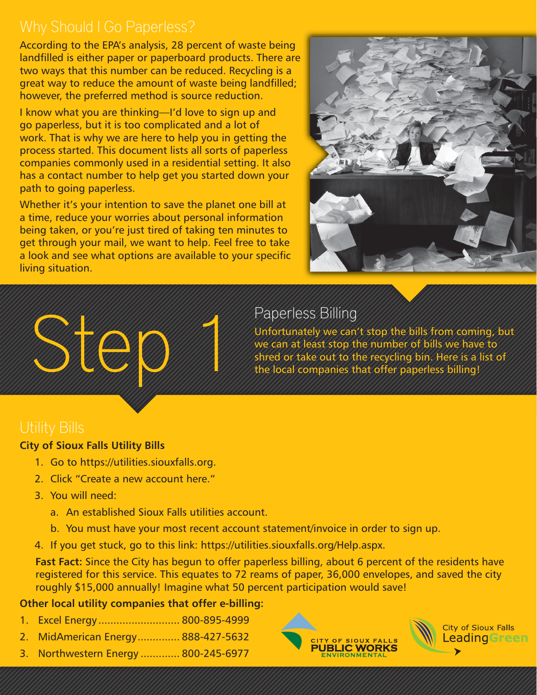According to the EPA's analysis, 28 percent of waste being landfilled is either paper or paperboard products. There are two ways that this number can be reduced. Recycling is a great way to reduce the amount of waste being landfilled; however, the preferred method is source reduction.

I know what you are thinking—I'd love to sign up and go paperless, but it is too complicated and a lot of work. That is why we are here to help you in getting the process started. This document lists all sorts of paperless companies commonly used in a residential setting. It also has a contact number to help get you started down your path to going paperless.

Whether it's your intention to save the planet one bill at a time, reduce your worries about personal information being taken, or you're just tired of taking ten minutes to get through your mail, we want to help. Feel free to take a look and see what options are available to your specific living situation.



# Paperless Billing

Unfortunately we can't stop the bills from coming, but we can at least stop the number of bills we have to shred or take out to the recycling bin. Here is a list of the local companies that offer paperless billing!

#### **City of Sioux Falls Utility Bills**

Step 1

- 1. Go to https://utilities.siouxfalls.org.
- 2. Click "Create a new account here."
- 3. You will need:
	- a. An established Sioux Falls utilities account.
	- b. You must have your most recent account statement/invoice in order to sign up.
- 4. If you get stuck, go to this link: https://utilities.siouxfalls.org/Help.aspx.

**Fast Fact:** Since the City has begun to offer paperless billing, about 6 percent of the residents have registered for this service. This equates to 72 reams of paper, 36,000 envelopes, and saved the city roughly \$15,000 annually! Imagine what 50 percent participation would save!

#### **Other local utility companies that offer e-billing:**

- 1. Excel Energy ........................... 800-895-4999
- 2. MidAmerican Energy .............. 888-427-5632
- 3. Northwestern Energy ............. 800-245-6977



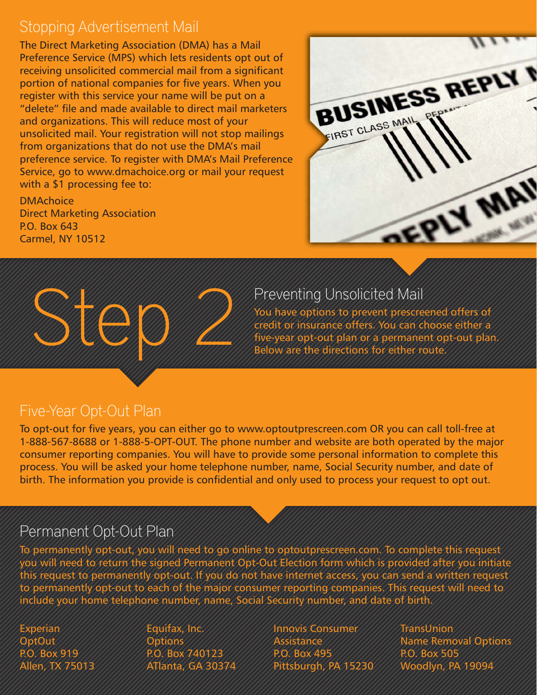## Stopping Advertisement Mail

The Direct Marketing Association (DMA) has a Mail Preference Service (MPS) which lets residents opt out of receiving unsolicited commercial mail from a significant portion of national companies for five years. When you register with this service your name will be put on a "delete" file and made available to direct mail marketers and organizations. This will reduce most of your unsolicited mail. Your registration will not stop mailings from organizations that do not use the DMA's mail preference service. To register with DMA's Mail Preference Service, go to www.dmachoice.org or mail your request with a \$1 processing fee to:

**DMAchoice** Direct Marketing Association P.O. Box 643 Carmel, NY 10512





## Preventing Unsolicited Mail

You have options to prevent prescreened offers of credit or insurance offers. You can choose either a five-year opt-out plan or a permanent opt-out plan. Below are the directions for either route.

### Five-Year Opt-Out Plan

To opt-out for five years, you can either go to www.optoutprescreen.com OR you can call toll-free at 1-888-567-8688 or 1-888-5-OPT-OUT. The phone number and website are both operated by the major consumer reporting companies. You will have to provide some personal information to complete this process. You will be asked your home telephone number, name, Social Security number, and date of birth. The information you provide is confidential and only used to process your request to opt out.

### Permanent Opt-Out Plan

To permanently opt-out, you will need to go online to optoutprescreen.com. To complete this request you will need to return the signed Permanent Opt-Out Election form which is provided after you initiate this request to permanently opt-out. If you do not have internet access, you can send a written request to permanently opt-out to each of the major consumer reporting companies. This request will need to include your home telephone number, name, Social Security number, and date of birth.

Experian **OptOut** P.O. Box 919 Allen, TX 75013

Equifax, Inc. **Options** P.O. Box 740123 ATlanta, GA 30374

Innovis Consumer Assistance P.O. Box 495 Pittsburgh, PA 15230 **TransUnion** Name Removal Options P.O. Box 505 Woodlyn, PA 19094